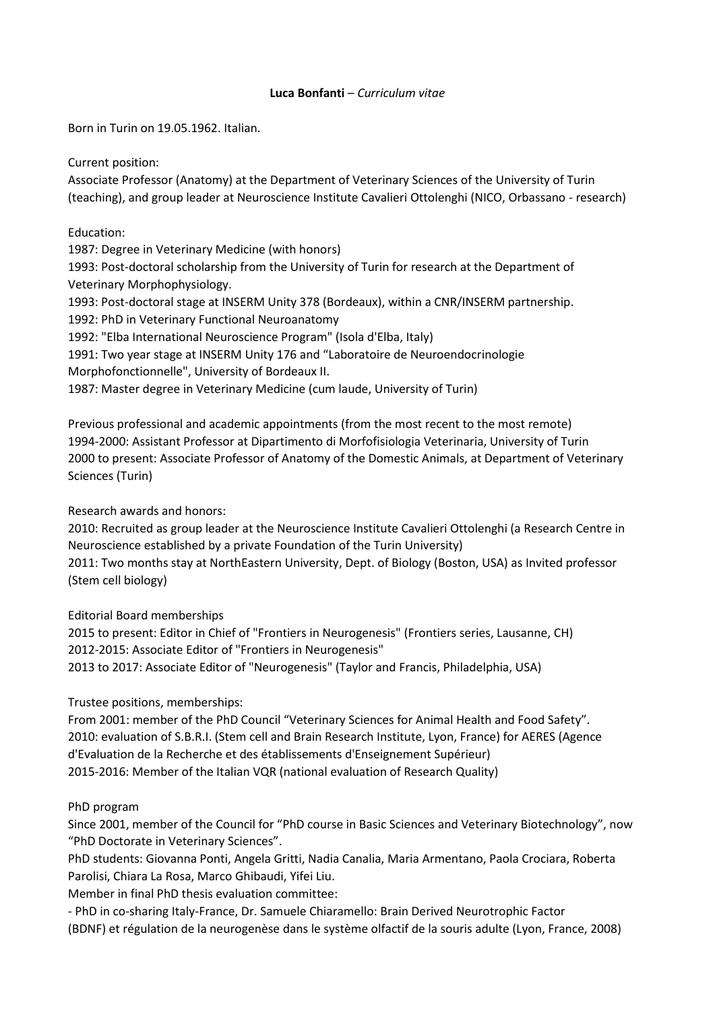## **Luca Bonfanti** – *Curriculum vitae*

Born in Turin on 19.05.1962. Italian.

Current position:

Associate Professor (Anatomy) at the Department of Veterinary Sciences of the University of Turin (teaching), and group leader at Neuroscience Institute Cavalieri Ottolenghi (NICO, Orbassano - research)

Education:

1987: Degree in Veterinary Medicine (with honors)

1993: Post-doctoral scholarship from the University of Turin for research at the Department of Veterinary Morphophysiology.

1993: Post-doctoral stage at INSERM Unity 378 (Bordeaux), within a CNR/INSERM partnership.

1992: PhD in Veterinary Functional Neuroanatomy

1992: "Elba International Neuroscience Program" (Isola d'Elba, Italy)

1991: Two year stage at INSERM Unity 176 and "Laboratoire de Neuroendocrinologie

Morphofonctionnelle", University of Bordeaux II.

1987: Master degree in Veterinary Medicine (cum laude, University of Turin)

Previous professional and academic appointments (from the most recent to the most remote) 1994-2000: Assistant Professor at Dipartimento di Morfofisiologia Veterinaria, University of Turin 2000 to present: Associate Professor of Anatomy of the Domestic Animals, at Department of Veterinary Sciences (Turin)

Research awards and honors:

2010: Recruited as group leader at the Neuroscience Institute Cavalieri Ottolenghi (a Research Centre in Neuroscience established by a private Foundation of the Turin University)

2011: Two months stay at NorthEastern University, Dept. of Biology (Boston, USA) as Invited professor (Stem cell biology)

Editorial Board memberships

2015 to present: Editor in Chief of "Frontiers in Neurogenesis" (Frontiers series, Lausanne, CH) 2012-2015: Associate Editor of "Frontiers in Neurogenesis" 2013 to 2017: Associate Editor of "Neurogenesis" (Taylor and Francis, Philadelphia, USA)

Trustee positions, memberships:

From 2001: member of the PhD Council "Veterinary Sciences for Animal Health and Food Safety". 2010: evaluation of S.B.R.I. (Stem cell and Brain Research Institute, Lyon, France) for AERES (Agence d'Evaluation de la Recherche et des établissements d'Enseignement Supérieur) 2015-2016: Member of the Italian VQR (national evaluation of Research Quality)

# PhD program

Since 2001, member of the Council for "PhD course in Basic Sciences and Veterinary Biotechnology", now "PhD Doctorate in Veterinary Sciences".

PhD students: Giovanna Ponti, Angela Gritti, Nadia Canalia, Maria Armentano, Paola Crociara, Roberta Parolisi, Chiara La Rosa, Marco Ghibaudi, Yifei Liu.

Member in final PhD thesis evaluation committee:

- PhD in co-sharing Italy-France, Dr. Samuele Chiaramello: Brain Derived Neurotrophic Factor (BDNF) et régulation de la neurogenèse dans le système olfactif de la souris adulte (Lyon, France, 2008)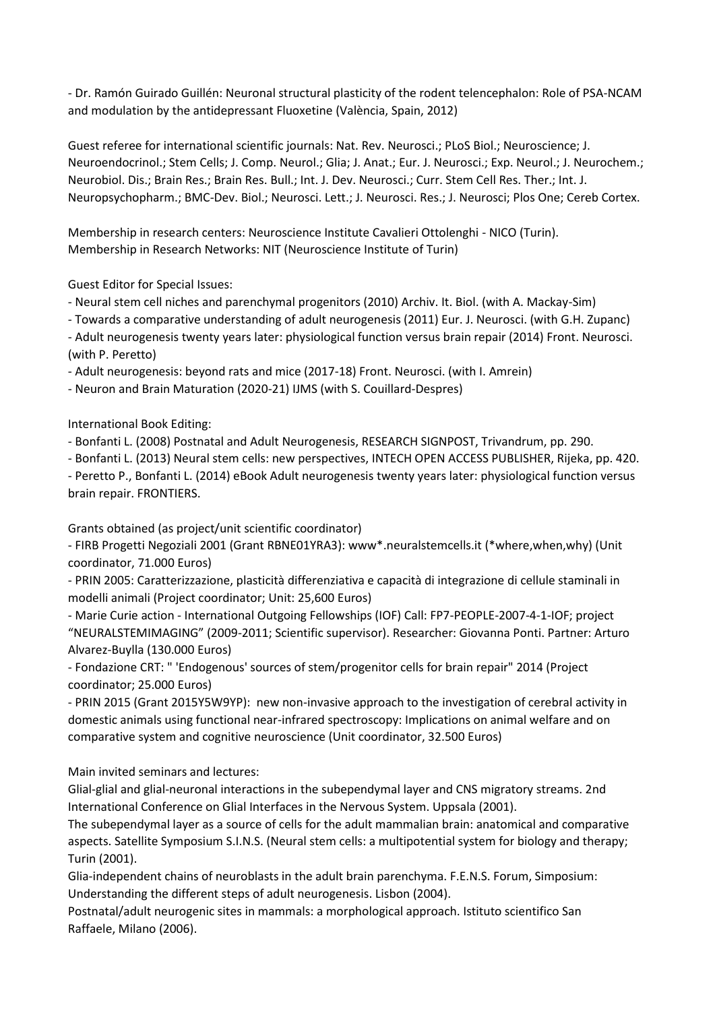- Dr. Ramón Guirado Guillén: Neuronal structural plasticity of the rodent telencephalon: Role of PSA-NCAM and modulation by the antidepressant Fluoxetine (València, Spain, 2012)

Guest referee for international scientific journals: Nat. Rev. Neurosci.; PLoS Biol.; Neuroscience; J. Neuroendocrinol.; Stem Cells; J. Comp. Neurol.; Glia; J. Anat.; Eur. J. Neurosci.; Exp. Neurol.; J. Neurochem.; Neurobiol. Dis.; Brain Res.; Brain Res. Bull.; Int. J. Dev. Neurosci.; Curr. Stem Cell Res. Ther.; Int. J. Neuropsychopharm.; BMC-Dev. Biol.; Neurosci. Lett.; J. Neurosci. Res.; J. Neurosci; Plos One; Cereb Cortex.

Membership in research centers: Neuroscience Institute Cavalieri Ottolenghi - NICO (Turin). Membership in Research Networks: NIT (Neuroscience Institute of Turin)

Guest Editor for Special Issues:

- Neural stem cell niches and parenchymal progenitors (2010) Archiv. It. Biol. (with A. Mackay-Sim)

- Towards a comparative understanding of adult neurogenesis (2011) Eur. J. Neurosci. (with G.H. Zupanc)

- Adult neurogenesis twenty years later: physiological function versus brain repair (2014) Front. Neurosci. (with P. Peretto)

- Adult neurogenesis: beyond rats and mice (2017-18) Front. Neurosci. (with I. Amrein)

- Neuron and Brain Maturation (2020-21) IJMS (with S. Couillard-Despres)

International Book Editing:

- Bonfanti L. (2008) Postnatal and Adult Neurogenesis, RESEARCH SIGNPOST, Trivandrum, pp. 290.

- Bonfanti L. (2013) Neural stem cells: new perspectives, INTECH OPEN ACCESS PUBLISHER, Rijeka, pp. 420.

- Peretto P., Bonfanti L. (2014) eBook Adult neurogenesis twenty years later: physiological function versus brain repair. FRONTIERS.

Grants obtained (as project/unit scientific coordinator)

- FIRB Progetti Negoziali 2001 (Grant RBNE01YRA3): www\*.neuralstemcells.it (\*where,when,why) (Unit coordinator, 71.000 Euros)

- PRIN 2005: Caratterizzazione, plasticità differenziativa e capacità di integrazione di cellule staminali in modelli animali (Project coordinator; Unit: 25,600 Euros)

- Marie Curie action - International Outgoing Fellowships (IOF) Call: FP7-PEOPLE-2007-4-1-IOF; project "NEURALSTEMIMAGING" (2009-2011; Scientific supervisor). Researcher: Giovanna Ponti. Partner: Arturo Alvarez-Buylla (130.000 Euros)

- Fondazione CRT: " 'Endogenous' sources of stem/progenitor cells for brain repair" 2014 (Project coordinator; 25.000 Euros)

- PRIN 2015 (Grant 2015Y5W9YP): new non-invasive approach to the investigation of cerebral activity in domestic animals using functional near-infrared spectroscopy: Implications on animal welfare and on comparative system and cognitive neuroscience (Unit coordinator, 32.500 Euros)

Main invited seminars and lectures:

Glial-glial and glial-neuronal interactions in the subependymal layer and CNS migratory streams. 2nd International Conference on Glial Interfaces in the Nervous System. Uppsala (2001).

The subependymal layer as a source of cells for the adult mammalian brain: anatomical and comparative aspects. Satellite Symposium S.I.N.S. (Neural stem cells: a multipotential system for biology and therapy; Turin (2001).

Glia-independent chains of neuroblasts in the adult brain parenchyma. F.E.N.S. Forum, Simposium: Understanding the different steps of adult neurogenesis. Lisbon (2004).

Postnatal/adult neurogenic sites in mammals: a morphological approach. Istituto scientifico San Raffaele, Milano (2006).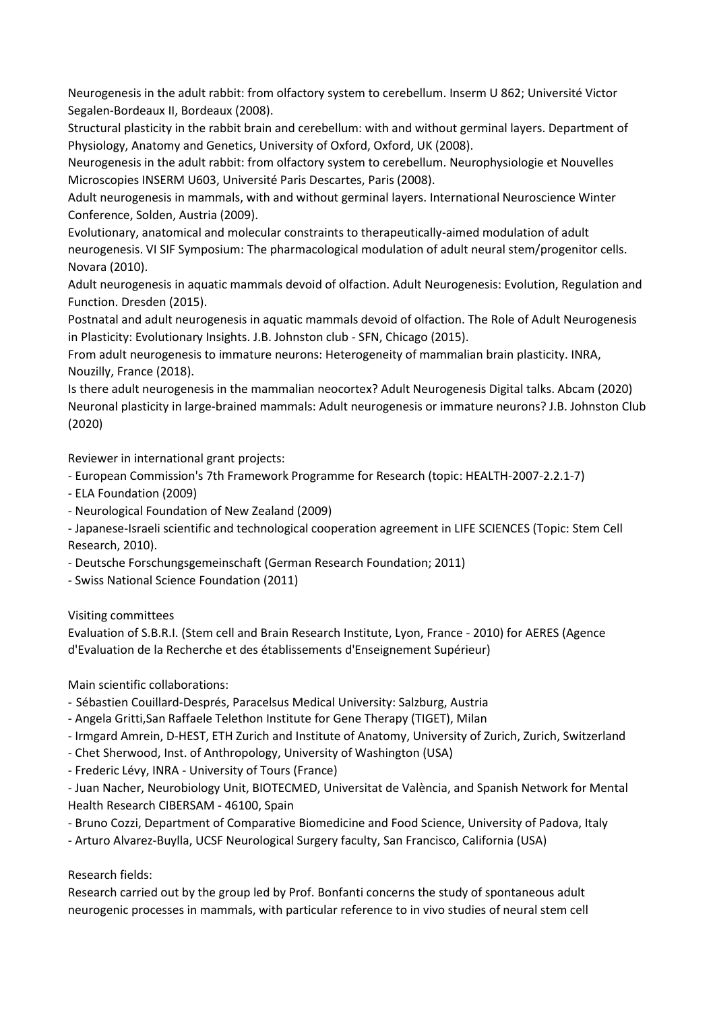Neurogenesis in the adult rabbit: from olfactory system to cerebellum. Inserm U 862; Université Victor Segalen-Bordeaux II, Bordeaux (2008).

Structural plasticity in the rabbit brain and cerebellum: with and without germinal layers. Department of Physiology, Anatomy and Genetics, University of Oxford, Oxford, UK (2008).

Neurogenesis in the adult rabbit: from olfactory system to cerebellum. Neurophysiologie et Nouvelles Microscopies INSERM U603, Université Paris Descartes, Paris (2008).

Adult neurogenesis in mammals, with and without germinal layers. International Neuroscience Winter Conference, Solden, Austria (2009).

Evolutionary, anatomical and molecular constraints to therapeutically-aimed modulation of adult neurogenesis. VI SIF Symposium: The pharmacological modulation of adult neural stem/progenitor cells. Novara (2010).

Adult neurogenesis in aquatic mammals devoid of olfaction. Adult Neurogenesis: Evolution, Regulation and Function. Dresden (2015).

Postnatal and adult neurogenesis in aquatic mammals devoid of olfaction. The Role of Adult Neurogenesis in Plasticity: Evolutionary Insights. J.B. Johnston club - SFN, Chicago (2015).

From adult neurogenesis to immature neurons: Heterogeneity of mammalian brain plasticity. INRA, Nouzilly, France (2018).

Is there adult neurogenesis in the mammalian neocortex? Adult Neurogenesis Digital talks. Abcam (2020) Neuronal plasticity in large-brained mammals: Adult neurogenesis or immature neurons? J.B. Johnston Club (2020)

Reviewer in international grant projects:

- European Commission's 7th Framework Programme for Research (topic: HEALTH-2007-2.2.1-7)

- ELA Foundation (2009)
- Neurological Foundation of New Zealand (2009)

- Japanese-Israeli scientific and technological cooperation agreement in LIFE SCIENCES (Topic: Stem Cell Research, 2010).

- Deutsche Forschungsgemeinschaft (German Research Foundation; 2011)
- Swiss National Science Foundation (2011)

Visiting committees

Evaluation of S.B.R.I. (Stem cell and Brain Research Institute, Lyon, France - 2010) for AERES (Agence d'Evaluation de la Recherche et des établissements d'Enseignement Supérieur)

Main scientific collaborations:

- Sébastien Couillard-Després, Paracelsus Medical University: Salzburg, Austria

- Angela Gritti,San Raffaele Telethon Institute for Gene Therapy (TIGET), Milan
- Irmgard Amrein, D-HEST, ETH Zurich and Institute of Anatomy, University of Zurich, Zurich, Switzerland
- Chet Sherwood, Inst. of Anthropology, University of Washington (USA)
- Frederic Lévy, INRA University of Tours (France)

- Juan Nacher, Neurobiology Unit, BIOTECMED, Universitat de València, and Spanish Network for Mental Health Research CIBERSAM - 46100, Spain

- Bruno Cozzi, Department of Comparative Biomedicine and Food Science, University of Padova, Italy

- Arturo Alvarez-Buylla, UCSF Neurological Surgery faculty, San Francisco, California (USA)

# Research fields:

Research carried out by the group led by Prof. Bonfanti concerns the study of spontaneous adult neurogenic processes in mammals, with particular reference to in vivo studies of neural stem cell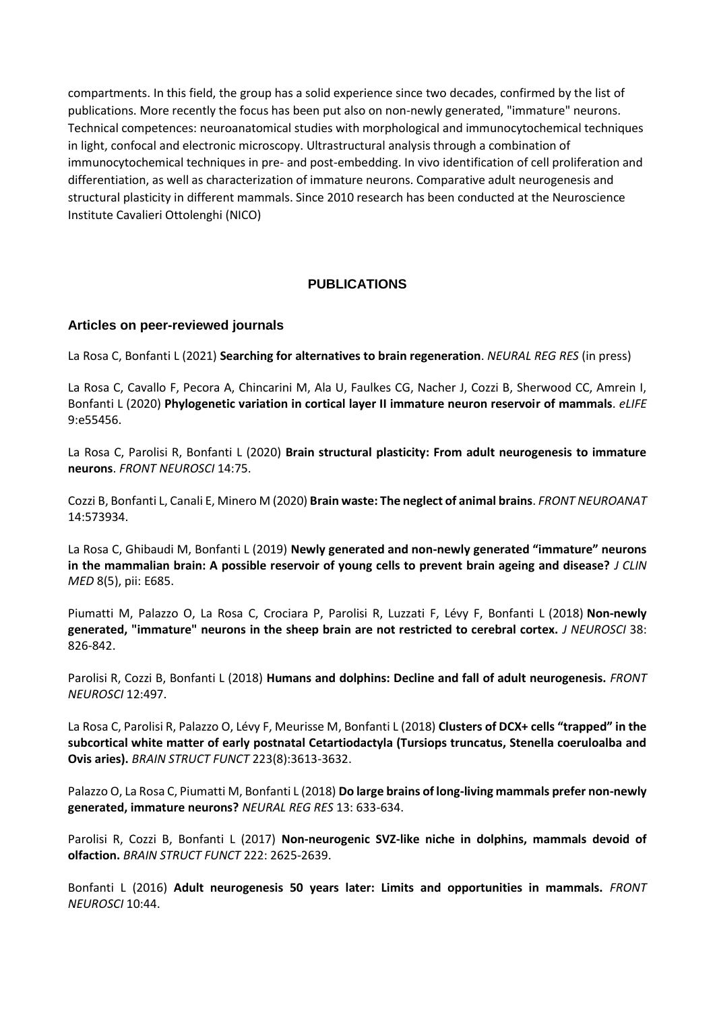compartments. In this field, the group has a solid experience since two decades, confirmed by the list of publications. More recently the focus has been put also on non-newly generated, "immature" neurons. Technical competences: neuroanatomical studies with morphological and immunocytochemical techniques in light, confocal and electronic microscopy. Ultrastructural analysis through a combination of immunocytochemical techniques in pre- and post-embedding. In vivo identification of cell proliferation and differentiation, as well as characterization of immature neurons. Comparative adult neurogenesis and structural plasticity in different mammals. Since 2010 research has been conducted at the Neuroscience Institute Cavalieri Ottolenghi (NICO)

## **PUBLICATIONS**

### **Articles on peer-reviewed journals**

La Rosa C, Bonfanti L (2021) **Searching for alternatives to brain regeneration**. *NEURAL REG RES* (in press)

La Rosa C, Cavallo F, Pecora A, Chincarini M, Ala U, Faulkes CG, Nacher J, Cozzi B, Sherwood CC, Amrein I, Bonfanti L (2020) **Phylogenetic variation in cortical layer II immature neuron reservoir of mammals**. *eLIFE* 9:e55456.

La Rosa C, Parolisi R, Bonfanti L (2020) **Brain structural plasticity: From adult neurogenesis to immature neurons**. *FRONT NEUROSCI* 14:75.

Cozzi B, Bonfanti L, Canali E, Minero M (2020) **Brain waste: The neglect of animal brains**. *FRONT NEUROANAT* 14:573934.

La Rosa C, Ghibaudi M, Bonfanti L (2019) **Newly generated and non-newly generated "immature" neurons in the mammalian brain: A possible reservoir of young cells to prevent brain ageing and disease?** *J CLIN MED* 8(5), pii: E685.

Piumatti M, Palazzo O, La Rosa C, Crociara P, Parolisi R, Luzzati F, Lévy F, Bonfanti L (2018) **Non-newly generated, "immature" neurons in the sheep brain are not restricted to cerebral cortex.** *J NEUROSCI* 38: 826-842.

Parolisi R, Cozzi B, Bonfanti L (2018) **Humans and dolphins: Decline and fall of adult neurogenesis.** *FRONT NEUROSCI* 12:497.

La Rosa C, Parolisi R, Palazzo O, Lévy F, Meurisse M, Bonfanti L (2018) **Clusters of DCX+ cells "trapped" in the subcortical white matter of early postnatal Cetartiodactyla (Tursiops truncatus, Stenella coeruloalba and Ovis aries).** *BRAIN STRUCT FUNCT* 223(8):3613-3632.

Palazzo O, La Rosa C, Piumatti M, Bonfanti L (2018) **Do large brains of long-living mammals prefer non-newly generated, immature neurons?** *NEURAL REG RES* 13: 633-634.

Parolisi R, Cozzi B, Bonfanti L (2017) **Non-neurogenic SVZ-like niche in dolphins, mammals devoid of olfaction.** *BRAIN STRUCT FUNCT* 222: 2625-2639.

Bonfanti L (2016) **Adult neurogenesis 50 years later: Limits and opportunities in mammals.** *FRONT NEUROSCI* 10:44.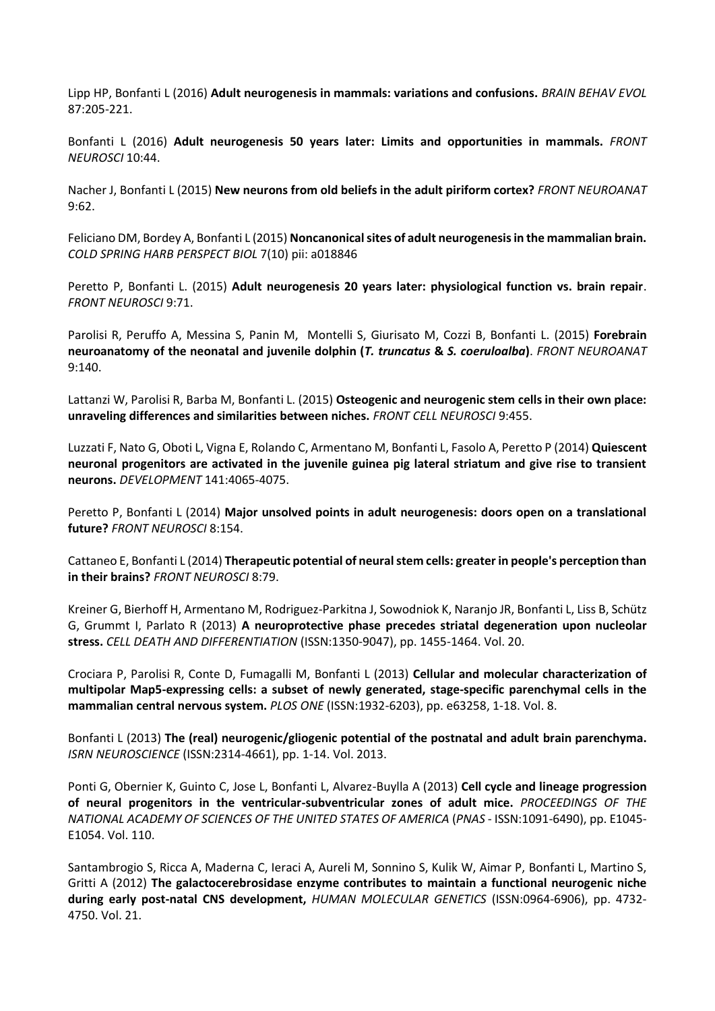Lipp HP, Bonfanti L (2016) **Adult neurogenesis in mammals: variations and confusions.** *BRAIN BEHAV EVOL*  87:205-221.

Bonfanti L (2016) **Adult neurogenesis 50 years later: Limits and opportunities in mammals.** *FRONT NEUROSCI* 10:44.

Nacher J, Bonfanti L (2015) **New neurons from old beliefs in the adult piriform cortex?** *FRONT NEUROANAT* 9:62.

Feliciano DM, Bordey A, Bonfanti L (2015) **Noncanonicalsites of adult neurogenesis in the mammalian brain.** *COLD SPRING HARB PERSPECT BIOL* 7(10) pii: a018846

Peretto P, Bonfanti L. (2015) **Adult neurogenesis 20 years later: physiological function vs. brain repair**. *FRONT NEUROSCI* 9:71.

Parolisi R, Peruffo A, Messina S, Panin M, Montelli S, Giurisato M, Cozzi B, Bonfanti L. (2015) **Forebrain neuroanatomy of the neonatal and juvenile dolphin (***T. truncatus* **&** *S. coeruloalba***)**. *FRONT NEUROANAT* 9:140.

Lattanzi W, Parolisi R, Barba M, Bonfanti L. (2015) **Osteogenic and neurogenic stem cells in their own place: unraveling differences and similarities between niches.** *FRONT CELL NEUROSCI* 9:455.

Luzzati F, Nato G, Oboti L, Vigna E, Rolando C, Armentano M, Bonfanti L, Fasolo A, Peretto P (2014) **Quiescent neuronal progenitors are activated in the juvenile guinea pig lateral striatum and give rise to transient neurons.** *DEVELOPMENT* 141:4065-4075.

Peretto P, Bonfanti L (2014) **Major unsolved points in adult neurogenesis: doors open on a translational future?** *FRONT NEUROSCI* 8:154.

Cattaneo E, Bonfanti L (2014) **Therapeutic potential of neural stem cells: greater in people's perception than in their brains?** *FRONT NEUROSCI* 8:79.

Kreiner G, Bierhoff H, Armentano M, Rodriguez-Parkitna J, Sowodniok K, Naranjo JR, Bonfanti L, Liss B, Schütz G, Grummt I, Parlato R (2013) **A neuroprotective phase precedes striatal degeneration upon nucleolar stress.** *CELL DEATH AND DIFFERENTIATION* (ISSN:1350-9047), pp. 1455-1464. Vol. 20.

Crociara P, Parolisi R, Conte D, Fumagalli M, Bonfanti L (2013) **Cellular and molecular characterization of multipolar Map5-expressing cells: a subset of newly generated, stage-specific parenchymal cells in the mammalian central nervous system.** *PLOS ONE* (ISSN:1932-6203), pp. e63258, 1-18. Vol. 8.

Bonfanti L (2013) **The (real) neurogenic/gliogenic potential of the postnatal and adult brain parenchyma.** *ISRN NEUROSCIENCE* (ISSN:2314-4661), pp. 1-14. Vol. 2013.

Ponti G, Obernier K, Guinto C, Jose L, Bonfanti L, Alvarez-Buylla A (2013) **Cell cycle and lineage progression of neural progenitors in the ventricular-subventricular zones of adult mice.** *PROCEEDINGS OF THE NATIONAL ACADEMY OF SCIENCES OF THE UNITED STATES OF AMERICA* (*PNAS* - ISSN:1091-6490), pp. E1045- E1054. Vol. 110.

Santambrogio S, Ricca A, Maderna C, Ieraci A, Aureli M, Sonnino S, Kulik W, Aimar P, Bonfanti L, Martino S, Gritti A (2012) **The galactocerebrosidase enzyme contributes to maintain a functional neurogenic niche during early post-natal CNS development,** *HUMAN MOLECULAR GENETICS* (ISSN:0964-6906), pp. 4732- 4750. Vol. 21.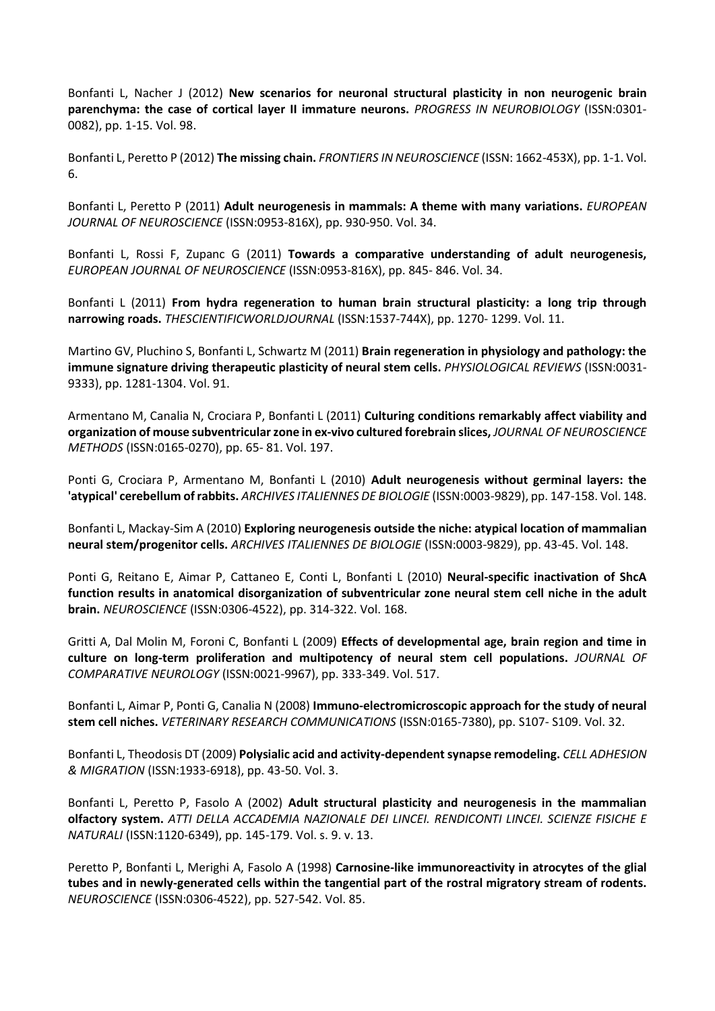Bonfanti L, Nacher J (2012) **New scenarios for neuronal structural plasticity in non neurogenic brain parenchyma: the case of cortical layer II immature neurons.** *PROGRESS IN NEUROBIOLOGY* (ISSN:0301- 0082), pp. 1-15. Vol. 98.

Bonfanti L, Peretto P (2012) **The missing chain.** *FRONTIERS IN NEUROSCIENCE* (ISSN: 1662-453X), pp. 1-1. Vol. 6.

Bonfanti L, Peretto P (2011) **Adult neurogenesis in mammals: A theme with many variations.** *EUROPEAN JOURNAL OF NEUROSCIENCE* (ISSN:0953-816X), pp. 930-950. Vol. 34.

Bonfanti L, Rossi F, Zupanc G (2011) **Towards a comparative understanding of adult neurogenesis,**  *EUROPEAN JOURNAL OF NEUROSCIENCE* (ISSN:0953-816X), pp. 845- 846. Vol. 34.

Bonfanti L (2011) **From hydra regeneration to human brain structural plasticity: a long trip through narrowing roads.** *THESCIENTIFICWORLDJOURNAL* (ISSN:1537-744X), pp. 1270- 1299. Vol. 11.

Martino GV, Pluchino S, Bonfanti L, Schwartz M (2011) **Brain regeneration in physiology and pathology: the immune signature driving therapeutic plasticity of neural stem cells.** *PHYSIOLOGICAL REVIEWS* (ISSN:0031- 9333), pp. 1281-1304. Vol. 91.

Armentano M, Canalia N, Crociara P, Bonfanti L (2011) **Culturing conditions remarkably affect viability and organization of mouse subventricularzone in ex-vivo cultured forebrain slices,** *JOURNAL OF NEUROSCIENCE METHODS* (ISSN:0165-0270), pp. 65- 81. Vol. 197.

Ponti G, Crociara P, Armentano M, Bonfanti L (2010) **Adult neurogenesis without germinal layers: the 'atypical' cerebellum of rabbits.** *ARCHIVES ITALIENNES DE BIOLOGIE* (ISSN:0003-9829), pp. 147-158. Vol. 148.

Bonfanti L, Mackay-Sim A (2010) **Exploring neurogenesis outside the niche: atypical location of mammalian neural stem/progenitor cells.** *ARCHIVES ITALIENNES DE BIOLOGIE* (ISSN:0003-9829), pp. 43-45. Vol. 148.

Ponti G, Reitano E, Aimar P, Cattaneo E, Conti L, Bonfanti L (2010) **Neural-specific inactivation of ShcA function results in anatomical disorganization of subventricular zone neural stem cell niche in the adult brain.** *NEUROSCIENCE* (ISSN:0306-4522), pp. 314-322. Vol. 168.

Gritti A, Dal Molin M, Foroni C, Bonfanti L (2009) **Effects of developmental age, brain region and time in culture on long-term proliferation and multipotency of neural stem cell populations.** *JOURNAL OF COMPARATIVE NEUROLOGY* (ISSN:0021-9967), pp. 333-349. Vol. 517.

Bonfanti L, Aimar P, Ponti G, Canalia N (2008) **Immuno-electromicroscopic approach for the study of neural stem cell niches.** *VETERINARY RESEARCH COMMUNICATIONS* (ISSN:0165-7380), pp. S107- S109. Vol. 32.

Bonfanti L, Theodosis DT (2009) **Polysialic acid and activity-dependent synapse remodeling.** *CELL ADHESION & MIGRATION* (ISSN:1933-6918), pp. 43-50. Vol. 3.

Bonfanti L, Peretto P, Fasolo A (2002) **Adult structural plasticity and neurogenesis in the mammalian olfactory system.** *ATTI DELLA ACCADEMIA NAZIONALE DEI LINCEI. RENDICONTI LINCEI. SCIENZE FISICHE E NATURALI* (ISSN:1120-6349), pp. 145-179. Vol. s. 9. v. 13.

Peretto P, Bonfanti L, Merighi A, Fasolo A (1998) **Carnosine-like immunoreactivity in atrocytes of the glial tubes and in newly-generated cells within the tangential part of the rostral migratory stream of rodents.** *NEUROSCIENCE* (ISSN:0306-4522), pp. 527-542. Vol. 85.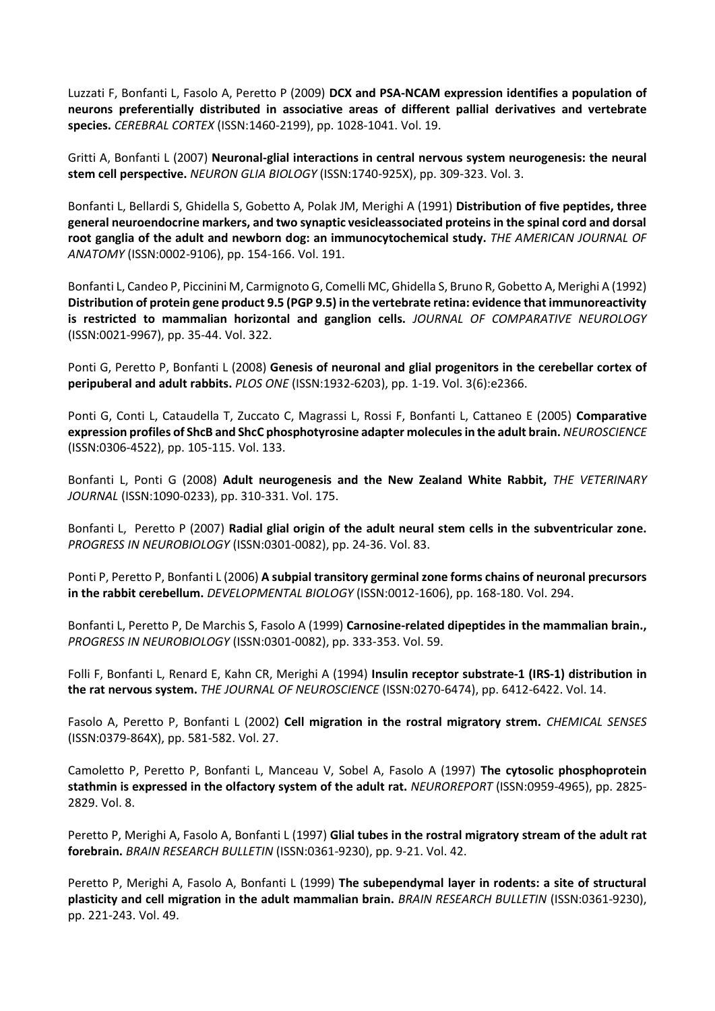Luzzati F, Bonfanti L, Fasolo A, Peretto P (2009) **DCX and PSA-NCAM expression identifies a population of neurons preferentially distributed in associative areas of different pallial derivatives and vertebrate species.** *CEREBRAL CORTEX* (ISSN:1460-2199), pp. 1028-1041. Vol. 19.

Gritti A, Bonfanti L (2007) **Neuronal-glial interactions in central nervous system neurogenesis: the neural stem cell perspective.** *NEURON GLIA BIOLOGY* (ISSN:1740-925X), pp. 309-323. Vol. 3.

Bonfanti L, Bellardi S, Ghidella S, Gobetto A, Polak JM, Merighi A (1991) **Distribution of five peptides, three general neuroendocrine markers, and two synaptic vesicleassociated proteins in the spinal cord and dorsal root ganglia of the adult and newborn dog: an immunocytochemical study.** *THE AMERICAN JOURNAL OF ANATOMY* (ISSN:0002-9106), pp. 154-166. Vol. 191.

Bonfanti L, Candeo P, Piccinini M, Carmignoto G, Comelli MC, Ghidella S, Bruno R, Gobetto A, Merighi A (1992) **Distribution of protein gene product 9.5 (PGP 9.5) in the vertebrate retina: evidence that immunoreactivity is restricted to mammalian horizontal and ganglion cells.** *JOURNAL OF COMPARATIVE NEUROLOGY*  (ISSN:0021-9967), pp. 35-44. Vol. 322.

Ponti G, Peretto P, Bonfanti L (2008) **Genesis of neuronal and glial progenitors in the cerebellar cortex of peripuberal and adult rabbits.** *PLOS ONE* (ISSN:1932-6203), pp. 1-19. Vol. 3(6):e2366.

Ponti G, Conti L, Cataudella T, Zuccato C, Magrassi L, Rossi F, Bonfanti L, Cattaneo E (2005) **Comparative expression profiles of ShcB and ShcC phosphotyrosine adapter molecules in the adult brain.** *NEUROSCIENCE* (ISSN:0306-4522), pp. 105-115. Vol. 133.

Bonfanti L, Ponti G (2008) **Adult neurogenesis and the New Zealand White Rabbit,** *THE VETERINARY JOURNAL* (ISSN:1090-0233), pp. 310-331. Vol. 175.

Bonfanti L, Peretto P (2007) **Radial glial origin of the adult neural stem cells in the subventricular zone.** *PROGRESS IN NEUROBIOLOGY* (ISSN:0301-0082), pp. 24-36. Vol. 83.

Ponti P, Peretto P, Bonfanti L (2006) **A subpial transitory germinal zone forms chains of neuronal precursors in the rabbit cerebellum.** *DEVELOPMENTAL BIOLOGY* (ISSN:0012-1606), pp. 168-180. Vol. 294.

Bonfanti L, Peretto P, De Marchis S, Fasolo A (1999) **Carnosine-related dipeptides in the mammalian brain.,**  *PROGRESS IN NEUROBIOLOGY* (ISSN:0301-0082), pp. 333-353. Vol. 59.

Folli F, Bonfanti L, Renard E, Kahn CR, Merighi A (1994) **Insulin receptor substrate-1 (IRS-1) distribution in the rat nervous system.** *THE JOURNAL OF NEUROSCIENCE* (ISSN:0270-6474), pp. 6412-6422. Vol. 14.

Fasolo A, Peretto P, Bonfanti L (2002) **Cell migration in the rostral migratory strem.** *CHEMICAL SENSES* (ISSN:0379-864X), pp. 581-582. Vol. 27.

Camoletto P, Peretto P, Bonfanti L, Manceau V, Sobel A, Fasolo A (1997) **The cytosolic phosphoprotein stathmin is expressed in the olfactory system of the adult rat.** *NEUROREPORT* (ISSN:0959-4965), pp. 2825- 2829. Vol. 8.

Peretto P, Merighi A, Fasolo A, Bonfanti L (1997) **Glial tubes in the rostral migratory stream of the adult rat forebrain.** *BRAIN RESEARCH BULLETIN* (ISSN:0361-9230), pp. 9-21. Vol. 42.

Peretto P, Merighi A, Fasolo A, Bonfanti L (1999) **The subependymal layer in rodents: a site of structural plasticity and cell migration in the adult mammalian brain.** *BRAIN RESEARCH BULLETIN* (ISSN:0361-9230), pp. 221-243. Vol. 49.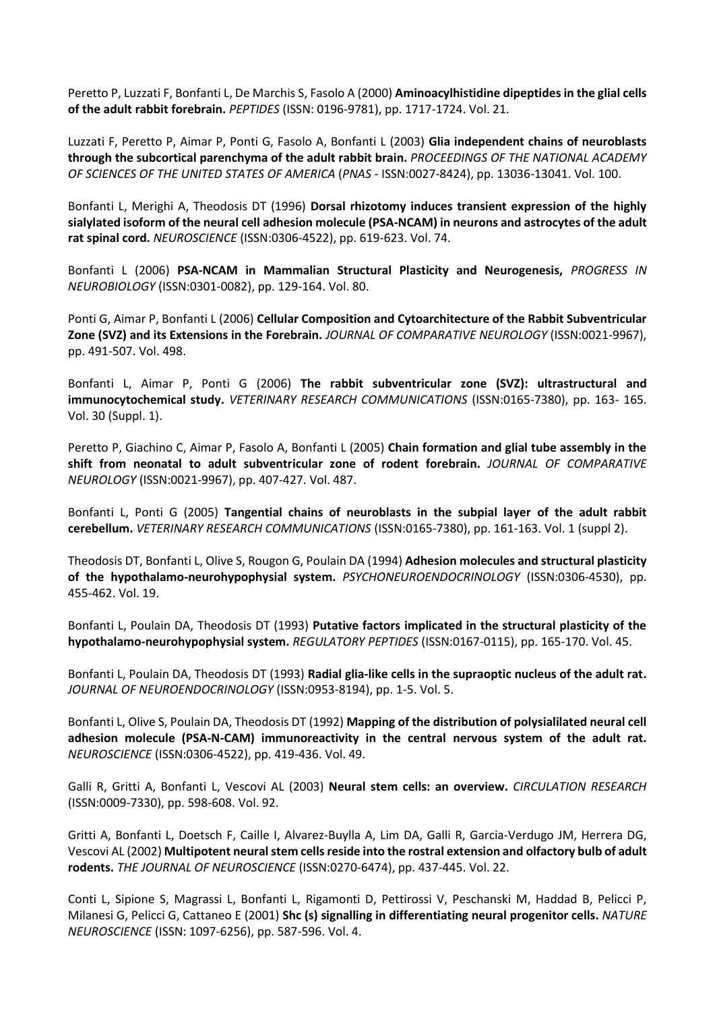Peretto P, Luzzati F, Bonfanti L, De Marchis S, Fasolo A (2000) **Aminoacylhistidine dipeptides in the glial cells of the adult rabbit forebrain.** *PEPTIDES* (ISSN: 0196-9781), pp. 1717-1724. Vol. 21.

Luzzati F, Peretto P, Aimar P, Ponti G, Fasolo A, Bonfanti L (2003) **Glia independent chains of neuroblasts through the subcortical parenchyma of the adult rabbit brain.** *PROCEEDINGS OF THE NATIONAL ACADEMY OF SCIENCES OF THE UNITED STATES OF AMERICA* (*PNAS* - ISSN:0027-8424), pp. 13036-13041. Vol. 100.

Bonfanti L, Merighi A, Theodosis DT (1996) **Dorsal rhizotomy induces transient expression of the highly sialylated isoform of the neural cell adhesion molecule (PSA-NCAM) in neurons and astrocytes of the adult rat spinal cord.** *NEUROSCIENCE* (ISSN:0306-4522), pp. 619-623. Vol. 74.

Bonfanti L (2006) **PSA-NCAM in Mammalian Structural Plasticity and Neurogenesis,** *PROGRESS IN NEUROBIOLOGY* (ISSN:0301-0082), pp. 129-164. Vol. 80.

Ponti G, Aimar P, Bonfanti L (2006) **Cellular Composition and Cytoarchitecture of the Rabbit Subventricular Zone (SVZ) and its Extensions in the Forebrain.** *JOURNAL OF COMPARATIVE NEUROLOGY* (ISSN:0021-9967), pp. 491-507. Vol. 498.

Bonfanti L, Aimar P, Ponti G (2006) **The rabbit subventricular zone (SVZ): ultrastructural and immunocytochemical study.** *VETERINARY RESEARCH COMMUNICATIONS* (ISSN:0165-7380), pp. 163- 165. Vol. 30 (Suppl. 1).

Peretto P, Giachino C, Aimar P, Fasolo A, Bonfanti L (2005) **Chain formation and glial tube assembly in the shift from neonatal to adult subventricular zone of rodent forebrain.** *JOURNAL OF COMPARATIVE NEUROLOGY* (ISSN:0021-9967), pp. 407-427. Vol. 487.

Bonfanti L, Ponti G (2005) **Tangential chains of neuroblasts in the subpial layer of the adult rabbit cerebellum.** *VETERINARY RESEARCH COMMUNICATIONS* (ISSN:0165-7380), pp. 161-163. Vol. 1 (suppl 2).

Theodosis DT, Bonfanti L, Olive S, Rougon G, Poulain DA (1994) **Adhesion molecules and structural plasticity of the hypothalamo-neurohypophysial system.** *PSYCHONEUROENDOCRINOLOGY* (ISSN:0306-4530), pp. 455-462. Vol. 19.

Bonfanti L, Poulain DA, Theodosis DT (1993) **Putative factors implicated in the structural plasticity of the hypothalamo-neurohypophysial system.** *REGULATORY PEPTIDES* (ISSN:0167-0115), pp. 165-170. Vol. 45.

Bonfanti L, Poulain DA, Theodosis DT (1993) **Radial glia-like cells in the supraoptic nucleus of the adult rat.** *JOURNAL OF NEUROENDOCRINOLOGY* (ISSN:0953-8194), pp. 1-5. Vol. 5.

Bonfanti L, Olive S, Poulain DA, Theodosis DT (1992) **Mapping of the distribution of polysialilated neural cell adhesion molecule (PSA-N-CAM) immunoreactivity in the central nervous system of the adult rat.** *NEUROSCIENCE* (ISSN:0306-4522), pp. 419-436. Vol. 49.

Galli R, Gritti A, Bonfanti L, Vescovi AL (2003) **Neural stem cells: an overview.** *CIRCULATION RESEARCH* (ISSN:0009-7330), pp. 598-608. Vol. 92.

Gritti A, Bonfanti L, Doetsch F, Caille I, Alvarez-Buylla A, Lim DA, Galli R, Garcia-Verdugo JM, Herrera DG, Vescovi AL (2002) **Multipotent neural stem cells reside into the rostral extension and olfactory bulb of adult rodents.** *THE JOURNAL OF NEUROSCIENCE* (ISSN:0270-6474), pp. 437-445. Vol. 22.

Conti L, Sipione S, Magrassi L, Bonfanti L, Rigamonti D, Pettirossi V, Peschanski M, Haddad B, Pelicci P, Milanesi G, Pelicci G, Cattaneo E (2001) **Shc (s) signalling in differentiating neural progenitor cells.** *NATURE NEUROSCIENCE* (ISSN: 1097-6256), pp. 587-596. Vol. 4.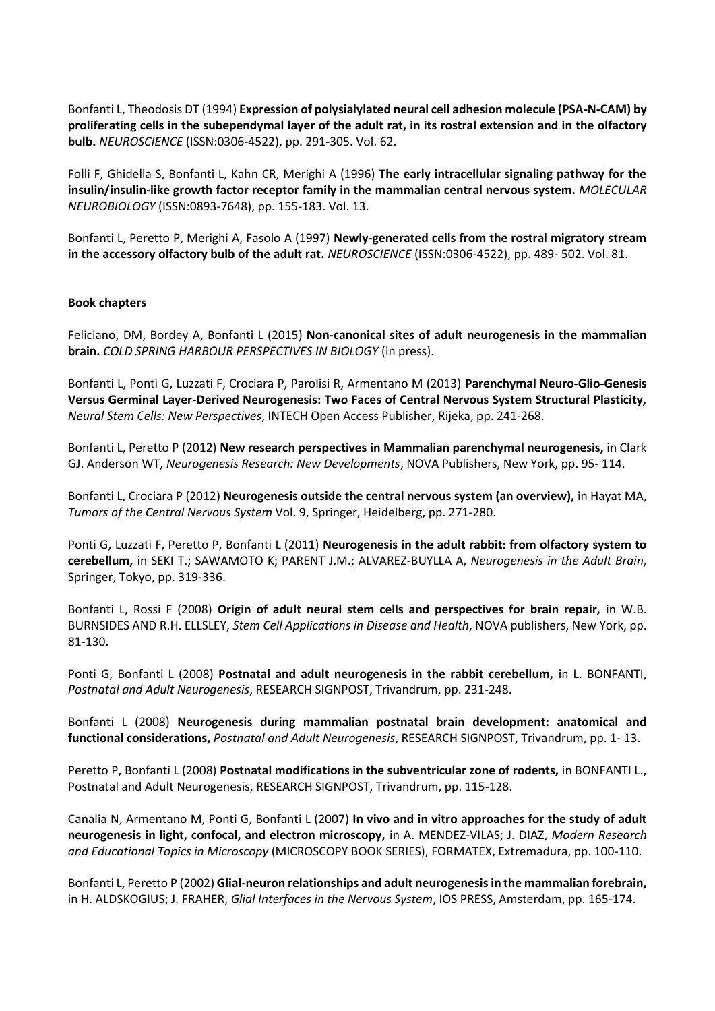Bonfanti L, Theodosis DT (1994) **Expression of polysialylated neural cell adhesion molecule (PSA-N-CAM) by proliferating cells in the subependymal layer of the adult rat, in its rostral extension and in the olfactory bulb.** *NEUROSCIENCE* (ISSN:0306-4522), pp. 291-305. Vol. 62.

Folli F, Ghidella S, Bonfanti L, Kahn CR, Merighi A (1996) **The early intracellular signaling pathway for the insulin/insulin-like growth factor receptor family in the mammalian central nervous system.** *MOLECULAR NEUROBIOLOGY* (ISSN:0893-7648), pp. 155-183. Vol. 13.

Bonfanti L, Peretto P, Merighi A, Fasolo A (1997) **Newly-generated cells from the rostral migratory stream in the accessory olfactory bulb of the adult rat.** *NEUROSCIENCE* (ISSN:0306-4522), pp. 489- 502. Vol. 81.

### **Book chapters**

Feliciano, DM, Bordey A, Bonfanti L (2015) **Non-canonical sites of adult neurogenesis in the mammalian brain.** *COLD SPRING HARBOUR PERSPECTIVES IN BIOLOGY* (in press).

Bonfanti L, Ponti G, Luzzati F, Crociara P, Parolisi R, Armentano M (2013) **Parenchymal Neuro-Glio-Genesis Versus Germinal Layer-Derived Neurogenesis: Two Faces of Central Nervous System Structural Plasticity,**  *Neural Stem Cells: New Perspectives*, INTECH Open Access Publisher, Rijeka, pp. 241-268.

Bonfanti L, Peretto P (2012) **New research perspectives in Mammalian parenchymal neurogenesis,** in Clark GJ. Anderson WT, *Neurogenesis Research: New Developments*, NOVA Publishers, New York, pp. 95- 114.

Bonfanti L, Crociara P (2012) **Neurogenesis outside the central nervous system (an overview),** in Hayat MA, *Tumors of the Central Nervous System* Vol. 9, Springer, Heidelberg, pp. 271-280.

Ponti G, Luzzati F, Peretto P, Bonfanti L (2011) **Neurogenesis in the adult rabbit: from olfactory system to cerebellum,** in SEKI T.; SAWAMOTO K; PARENT J.M.; ALVAREZ-BUYLLA A, *Neurogenesis in the Adult Brain*, Springer, Tokyo, pp. 319-336.

Bonfanti L, Rossi F (2008) **Origin of adult neural stem cells and perspectives for brain repair,** in W.B. BURNSIDES AND R.H. ELLSLEY, *Stem Cell Applications in Disease and Health*, NOVA publishers, New York, pp. 81-130.

Ponti G, Bonfanti L (2008) **Postnatal and adult neurogenesis in the rabbit cerebellum,** in L. BONFANTI, *Postnatal and Adult Neurogenesis*, RESEARCH SIGNPOST, Trivandrum, pp. 231-248.

Bonfanti L (2008) **Neurogenesis during mammalian postnatal brain development: anatomical and functional considerations,** *Postnatal and Adult Neurogenesis*, RESEARCH SIGNPOST, Trivandrum, pp. 1- 13.

Peretto P, Bonfanti L (2008) **Postnatal modifications in the subventricular zone of rodents,** in BONFANTI L., Postnatal and Adult Neurogenesis, RESEARCH SIGNPOST, Trivandrum, pp. 115-128.

Canalia N, Armentano M, Ponti G, Bonfanti L (2007) **In vivo and in vitro approaches for the study of adult neurogenesis in light, confocal, and electron microscopy,** in A. MENDEZ-VILAS; J. DIAZ, *Modern Research and Educational Topics in Microscopy* (MICROSCOPY BOOK SERIES), FORMATEX, Extremadura, pp. 100-110.

Bonfanti L, Peretto P (2002) **Glial-neuron relationships and adult neurogenesis in the mammalian forebrain,**  in H. ALDSKOGIUS; J. FRAHER, *Glial Interfaces in the Nervous System*, IOS PRESS, Amsterdam, pp. 165-174.